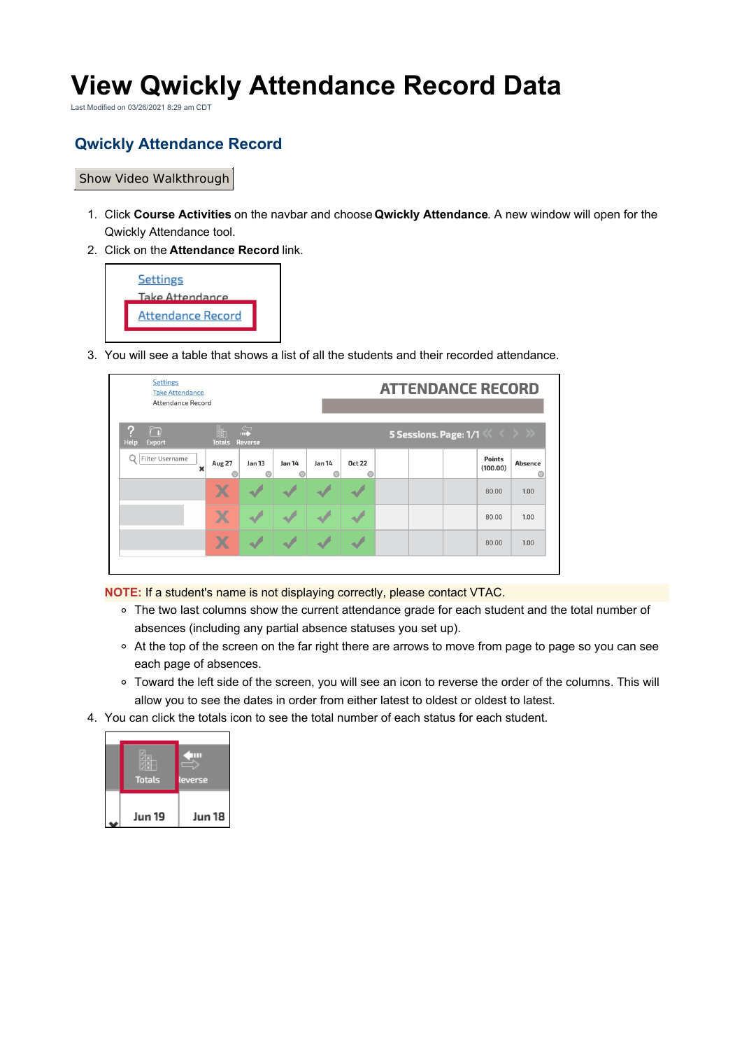## **View Qwickly Attendance Record Data**

Last Modified on 03/26/2021 8:29 am CDT

## **Qwickly Attendance Record**

## Show Video Walkthrough

- 1. Click **Course Activities** on the navbar and choose **Qwickly Attendance**. A new window will open for the Qwickly Attendance tool.
- 2. Click on the **Attendance Record** link.



3. You will see a table that shows a list of all the students and their recorded attendance.

| 閉<br>豪<br>9<br>m<br>5 Sessions. Page: $1/1$ $\left\langle \left\langle \right\rangle \right\rangle$<br>Help<br>Export<br><b>Totals</b><br>Reverse<br>Filter Username<br>Aug 27<br><b>Oct 22</b><br>Jan 13<br><b>Jan 14</b><br>Jan 14<br>×<br>$\circ$<br>$\odot$<br>$\circledcirc$<br>$\odot$<br>$\odot$<br>$\overline{\textbf{X}}$ |                     | <b>ATTENDANCE RECORD</b>  |  |  |  |  |  | <b>Settings</b><br><b>Take Attendance</b><br>Attendance Record |  |  |  |
|------------------------------------------------------------------------------------------------------------------------------------------------------------------------------------------------------------------------------------------------------------------------------------------------------------------------------------|---------------------|---------------------------|--|--|--|--|--|----------------------------------------------------------------|--|--|--|
|                                                                                                                                                                                                                                                                                                                                    |                     |                           |  |  |  |  |  |                                                                |  |  |  |
|                                                                                                                                                                                                                                                                                                                                    | <b>Absence</b><br>ඹ | <b>Points</b><br>(100.00) |  |  |  |  |  |                                                                |  |  |  |
|                                                                                                                                                                                                                                                                                                                                    | 1.00                | 80.00                     |  |  |  |  |  |                                                                |  |  |  |
| X                                                                                                                                                                                                                                                                                                                                  | 1.00                | 80.00                     |  |  |  |  |  |                                                                |  |  |  |
| $\overline{\textbf{X}}$                                                                                                                                                                                                                                                                                                            | 1.00                | 80.00                     |  |  |  |  |  |                                                                |  |  |  |

**NOTE:** If a student's name is not displaying correctly, please contact VTAC.

- The two last columns show the current attendance grade for each student and the total number of absences (including any partial absence statuses you set up).
- At the top of the screen on the far right there are arrows to move from page to page so you can see each page of absences.
- Toward the left side of the screen, you will see an icon to reverse the order of the columns. This will allow you to see the dates in order from either latest to oldest or oldest to latest.
- 4. You can click the totals icon to see the total number of each status for each student.

| <b>Jun 19</b> | Jun 18       |
|---------------|--------------|
| <b>Totals</b> | Ш<br>leverse |